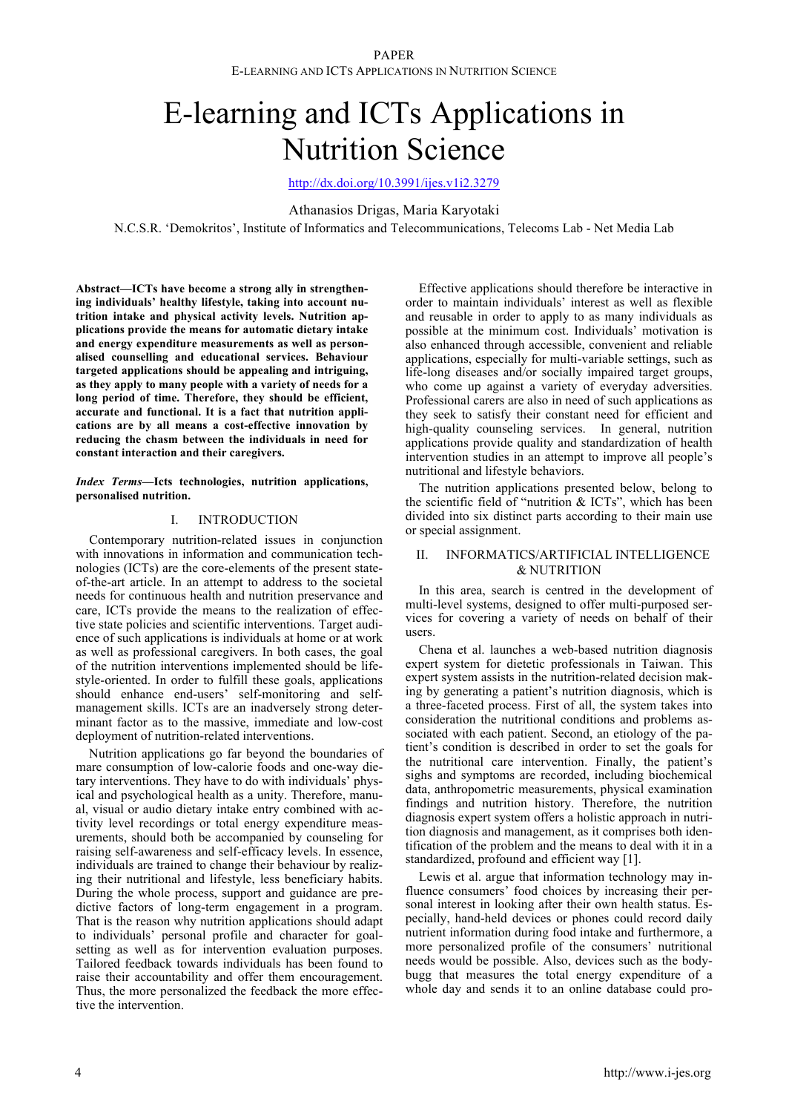# E-learning and ICTs Applications in Nutrition Science

http://dx.doi.org/10.3991/ijes.v1i2.3279

Athanasios Drigas, Maria Karyotaki

N.C.S.R. 'Demokritos', Institute of Informatics and Telecommunications, Telecoms Lab - Net Media Lab

**Abstract—ICTs have become a strong ally in strengthening individuals' healthy lifestyle, taking into account nutrition intake and physical activity levels. Nutrition applications provide the means for automatic dietary intake and energy expenditure measurements as well as personalised counselling and educational services. Behaviour targeted applications should be appealing and intriguing, as they apply to many people with a variety of needs for a long period of time. Therefore, they should be efficient, accurate and functional. It is a fact that nutrition applications are by all means a cost-effective innovation by reducing the chasm between the individuals in need for constant interaction and their caregivers.** 

## *Index Terms***—Icts technologies, nutrition applications, personalised nutrition.**

## I. INTRODUCTION

Contemporary nutrition-related issues in conjunction with innovations in information and communication technologies (ICTs) are the core-elements of the present stateof-the-art article. In an attempt to address to the societal needs for continuous health and nutrition preservance and care, ICTs provide the means to the realization of effective state policies and scientific interventions. Target audience of such applications is individuals at home or at work as well as professional caregivers. In both cases, the goal of the nutrition interventions implemented should be lifestyle-oriented. In order to fulfill these goals, applications should enhance end-users' self-monitoring and selfmanagement skills. ICTs are an inadversely strong determinant factor as to the massive, immediate and low-cost deployment of nutrition-related interventions.

Nutrition applications go far beyond the boundaries of mare consumption of low-calorie foods and one-way dietary interventions. They have to do with individuals' physical and psychological health as a unity. Therefore, manual, visual or audio dietary intake entry combined with activity level recordings or total energy expenditure measurements, should both be accompanied by counseling for raising self-awareness and self-efficacy levels. In essence, individuals are trained to change their behaviour by realizing their nutritional and lifestyle, less beneficiary habits. During the whole process, support and guidance are predictive factors of long-term engagement in a program. That is the reason why nutrition applications should adapt to individuals' personal profile and character for goalsetting as well as for intervention evaluation purposes. Tailored feedback towards individuals has been found to raise their accountability and offer them encouragement. Thus, the more personalized the feedback the more effective the intervention.

Effective applications should therefore be interactive in order to maintain individuals' interest as well as flexible and reusable in order to apply to as many individuals as possible at the minimum cost. Individuals' motivation is also enhanced through accessible, convenient and reliable applications, especially for multi-variable settings, such as life-long diseases and/or socially impaired target groups, who come up against a variety of everyday adversities. Professional carers are also in need of such applications as they seek to satisfy their constant need for efficient and high-quality counseling services. In general, nutrition applications provide quality and standardization of health intervention studies in an attempt to improve all people's nutritional and lifestyle behaviors.

The nutrition applications presented below, belong to the scientific field of "nutrition & ICTs", which has been divided into six distinct parts according to their main use or special assignment.

## II. INFORMATICS/ARTIFICIAL INTELLIGENCE & NUTRITION

In this area, search is centred in the development of multi-level systems, designed to offer multi-purposed services for covering a variety of needs on behalf of their users.

Chena et al. launches a web-based nutrition diagnosis expert system for dietetic professionals in Taiwan. This expert system assists in the nutrition-related decision making by generating a patient's nutrition diagnosis, which is a three-faceted process. First of all, the system takes into consideration the nutritional conditions and problems associated with each patient. Second, an etiology of the patient's condition is described in order to set the goals for the nutritional care intervention. Finally, the patient's sighs and symptoms are recorded, including biochemical data, anthropometric measurements, physical examination findings and nutrition history. Therefore, the nutrition diagnosis expert system offers a holistic approach in nutrition diagnosis and management, as it comprises both identification of the problem and the means to deal with it in a standardized, profound and efficient way [1].

Lewis et al. argue that information technology may influence consumers' food choices by increasing their personal interest in looking after their own health status. Especially, hand-held devices or phones could record daily nutrient information during food intake and furthermore, a more personalized profile of the consumers' nutritional needs would be possible. Also, devices such as the bodybugg that measures the total energy expenditure of a whole day and sends it to an online database could pro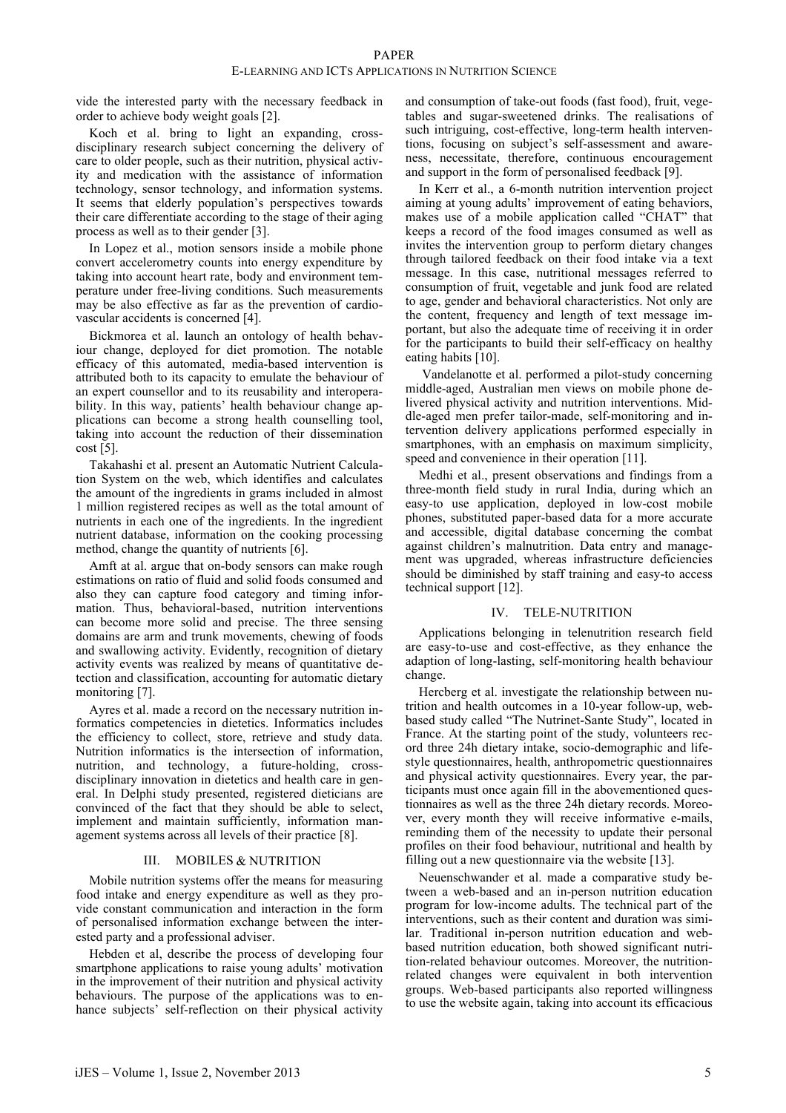vide the interested party with the necessary feedback in order to achieve body weight goals [2].

Koch et al. bring to light an expanding, crossdisciplinary research subject concerning the delivery of care to older people, such as their nutrition, physical activity and medication with the assistance of information technology, sensor technology, and information systems. It seems that elderly population's perspectives towards their care differentiate according to the stage of their aging process as well as to their gender [3].

In Lopez et al., motion sensors inside a mobile phone convert accelerometry counts into energy expenditure by taking into account heart rate, body and environment temperature under free-living conditions. Such measurements may be also effective as far as the prevention of cardiovascular accidents is concerned [4].

Bickmorea et al. launch an ontology of health behaviour change, deployed for diet promotion. The notable efficacy of this automated, media-based intervention is attributed both to its capacity to emulate the behaviour of an expert counsellor and to its reusability and interoperability. In this way, patients' health behaviour change applications can become a strong health counselling tool, taking into account the reduction of their dissemination cost [5].

Takahashi et al. present an Automatic Nutrient Calculation System on the web, which identifies and calculates the amount of the ingredients in grams included in almost 1 million registered recipes as well as the total amount of nutrients in each one of the ingredients. In the ingredient nutrient database, information on the cooking processing method, change the quantity of nutrients [6].

Amft at al. argue that on-body sensors can make rough estimations on ratio of fluid and solid foods consumed and also they can capture food category and timing information. Thus, behavioral-based, nutrition interventions can become more solid and precise. The three sensing domains are arm and trunk movements, chewing of foods and swallowing activity. Evidently, recognition of dietary activity events was realized by means of quantitative detection and classification, accounting for automatic dietary monitoring [7].

Ayres et al. made a record on the necessary nutrition informatics competencies in dietetics. Informatics includes the efficiency to collect, store, retrieve and study data. Nutrition informatics is the intersection of information, nutrition, and technology, a future-holding, crossdisciplinary innovation in dietetics and health care in general. In Delphi study presented, registered dieticians are convinced of the fact that they should be able to select, implement and maintain sufficiently, information management systems across all levels of their practice [8].

## III. MOBILES & NUTRITION

Mobile nutrition systems offer the means for measuring food intake and energy expenditure as well as they provide constant communication and interaction in the form of personalised information exchange between the interested party and a professional adviser.

Hebden et al, describe the process of developing four smartphone applications to raise young adults' motivation in the improvement of their nutrition and physical activity behaviours. The purpose of the applications was to enhance subjects' self-reflection on their physical activity and consumption of take-out foods (fast food), fruit, vegetables and sugar-sweetened drinks. The realisations of such intriguing, cost-effective, long-term health interventions, focusing on subject's self-assessment and awareness, necessitate, therefore, continuous encouragement and support in the form of personalised feedback [9].

In Kerr et al., a 6-month nutrition intervention project aiming at young adults' improvement of eating behaviors, makes use of a mobile application called "CHAT" that keeps a record of the food images consumed as well as invites the intervention group to perform dietary changes through tailored feedback on their food intake via a text message. In this case, nutritional messages referred to consumption of fruit, vegetable and junk food are related to age, gender and behavioral characteristics. Not only are the content, frequency and length of text message important, but also the adequate time of receiving it in order for the participants to build their self-efficacy on healthy eating habits [10].

Vandelanotte et al. performed a pilot-study concerning middle-aged, Australian men views on mobile phone delivered physical activity and nutrition interventions. Middle-aged men prefer tailor-made, self-monitoring and intervention delivery applications performed especially in smartphones, with an emphasis on maximum simplicity, speed and convenience in their operation [11].

Medhi et al., present observations and findings from a three-month field study in rural India, during which an easy-to use application, deployed in low-cost mobile phones, substituted paper-based data for a more accurate and accessible, digital database concerning the combat against children's malnutrition. Data entry and management was upgraded, whereas infrastructure deficiencies should be diminished by staff training and easy-to access technical support [12].

# IV. TELE-NUTRITION

Applications belonging in telenutrition research field are easy-to-use and cost-effective, as they enhance the adaption of long-lasting, self-monitoring health behaviour change.

Hercberg et al. investigate the relationship between nutrition and health outcomes in a 10-year follow-up, webbased study called "The Nutrinet-Sante Study", located in France. At the starting point of the study, volunteers record three 24h dietary intake, socio-demographic and lifestyle questionnaires, health, anthropometric questionnaires and physical activity questionnaires. Every year, the participants must once again fill in the abovementioned questionnaires as well as the three 24h dietary records. Moreover, every month they will receive informative e-mails, reminding them of the necessity to update their personal profiles on their food behaviour, nutritional and health by filling out a new questionnaire via the website [13].

Neuenschwander et al. made a comparative study between a web-based and an in-person nutrition education program for low-income adults. The technical part of the interventions, such as their content and duration was similar. Traditional in-person nutrition education and webbased nutrition education, both showed significant nutrition-related behaviour outcomes. Moreover, the nutritionrelated changes were equivalent in both intervention groups. Web-based participants also reported willingness to use the website again, taking into account its efficacious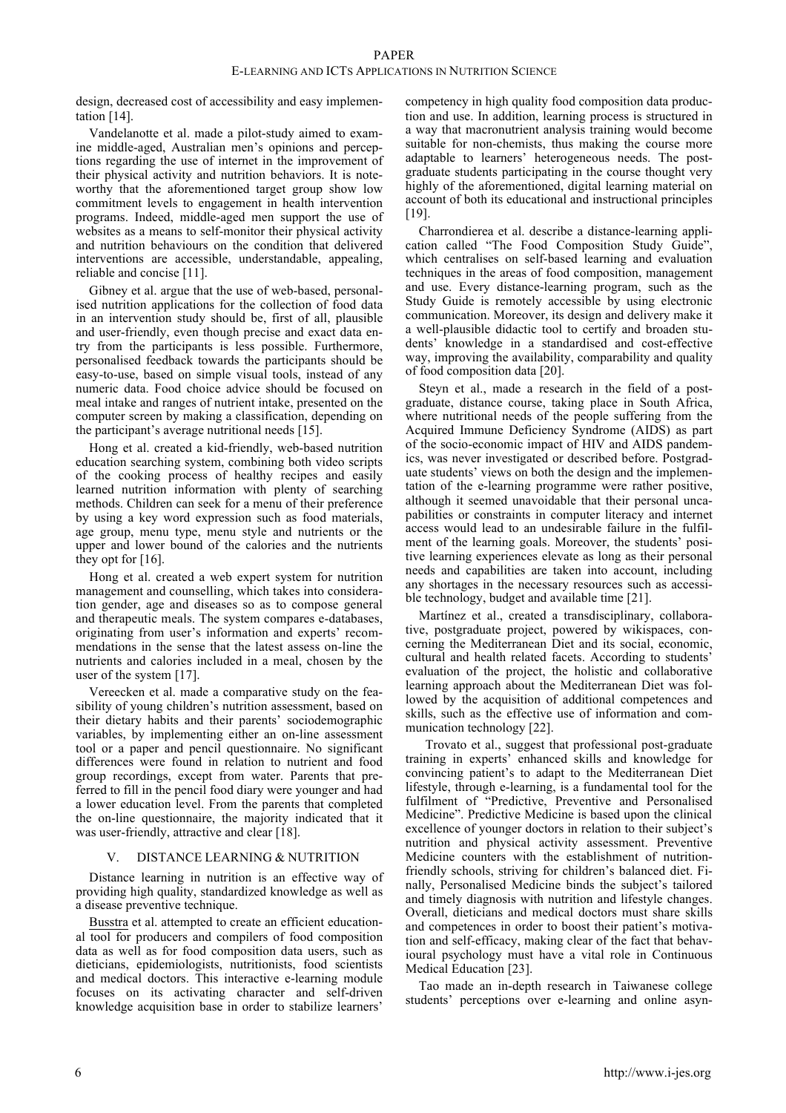design, decreased cost of accessibility and easy implementation [14].

Vandelanotte et al. made a pilot-study aimed to examine middle-aged, Australian men's opinions and perceptions regarding the use of internet in the improvement of their physical activity and nutrition behaviors. It is noteworthy that the aforementioned target group show low commitment levels to engagement in health intervention programs. Indeed, middle-aged men support the use of websites as a means to self-monitor their physical activity and nutrition behaviours on the condition that delivered interventions are accessible, understandable, appealing, reliable and concise [11].

Gibney et al. argue that the use of web-based, personalised nutrition applications for the collection of food data in an intervention study should be, first of all, plausible and user-friendly, even though precise and exact data entry from the participants is less possible. Furthermore, personalised feedback towards the participants should be easy-to-use, based on simple visual tools, instead of any numeric data. Food choice advice should be focused on meal intake and ranges of nutrient intake, presented on the computer screen by making a classification, depending on the participant's average nutritional needs [15].

Hong et al. created a kid-friendly, web-based nutrition education searching system, combining both video scripts of the cooking process of healthy recipes and easily learned nutrition information with plenty of searching methods. Children can seek for a menu of their preference by using a key word expression such as food materials, age group, menu type, menu style and nutrients or the upper and lower bound of the calories and the nutrients they opt for [16].

Hong et al. created a web expert system for nutrition management and counselling, which takes into consideration gender, age and diseases so as to compose general and therapeutic meals. The system compares e-databases, originating from user's information and experts' recommendations in the sense that the latest assess on-line the nutrients and calories included in a meal, chosen by the user of the system [17].

Vereecken et al. made a comparative study on the feasibility of young children's nutrition assessment, based on their dietary habits and their parents' sociodemographic variables, by implementing either an on-line assessment tool or a paper and pencil questionnaire. No significant differences were found in relation to nutrient and food group recordings, except from water. Parents that preferred to fill in the pencil food diary were younger and had a lower education level. From the parents that completed the on-line questionnaire, the majority indicated that it was user-friendly, attractive and clear [18].

# V. DISTANCE LEARNING & NUTRITION

Distance learning in nutrition is an effective way of providing high quality, standardized knowledge as well as a disease preventive technique.

Busstra et al. attempted to create an efficient educational tool for producers and compilers of food composition data as well as for food composition data users, such as dieticians, epidemiologists, nutritionists, food scientists and medical doctors. This interactive e-learning module focuses on its activating character and self-driven knowledge acquisition base in order to stabilize learners'

competency in high quality food composition data production and use. In addition, learning process is structured in a way that macronutrient analysis training would become suitable for non-chemists, thus making the course more adaptable to learners' heterogeneous needs. The postgraduate students participating in the course thought very highly of the aforementioned, digital learning material on account of both its educational and instructional principles [19].

Charrondierea et al. describe a distance-learning application called "The Food Composition Study Guide", which centralises on self-based learning and evaluation techniques in the areas of food composition, management and use. Every distance-learning program, such as the Study Guide is remotely accessible by using electronic communication. Moreover, its design and delivery make it a well-plausible didactic tool to certify and broaden students' knowledge in a standardised and cost-effective way, improving the availability, comparability and quality of food composition data [20].

Steyn et al., made a research in the field of a postgraduate, distance course, taking place in South Africa, where nutritional needs of the people suffering from the Acquired Immune Deficiency Syndrome (AIDS) as part of the socio-economic impact of HIV and AIDS pandemics, was never investigated or described before. Postgraduate students' views on both the design and the implementation of the e-learning programme were rather positive, although it seemed unavoidable that their personal uncapabilities or constraints in computer literacy and internet access would lead to an undesirable failure in the fulfilment of the learning goals. Moreover, the students' positive learning experiences elevate as long as their personal needs and capabilities are taken into account, including any shortages in the necessary resources such as accessible technology, budget and available time [21].

Martínez et al., created a transdisciplinary, collaborative, postgraduate project, powered by wikispaces, concerning the Mediterranean Diet and its social, economic, cultural and health related facets. According to students' evaluation of the project, the holistic and collaborative learning approach about the Mediterranean Diet was followed by the acquisition of additional competences and skills, such as the effective use of information and communication technology [22].

 Trovato et al., suggest that professional post-graduate training in experts' enhanced skills and knowledge for convincing patient's to adapt to the Mediterranean Diet lifestyle, through e-learning, is a fundamental tool for the fulfilment of "Predictive, Preventive and Personalised Medicine". Predictive Medicine is based upon the clinical excellence of younger doctors in relation to their subject's nutrition and physical activity assessment. Preventive Medicine counters with the establishment of nutritionfriendly schools, striving for children's balanced diet. Finally, Personalised Medicine binds the subject's tailored and timely diagnosis with nutrition and lifestyle changes. Overall, dieticians and medical doctors must share skills and competences in order to boost their patient's motivation and self-efficacy, making clear of the fact that behavioural psychology must have a vital role in Continuous Medical Education [23].

Tao made an in-depth research in Taiwanese college students' perceptions over e-learning and online asyn-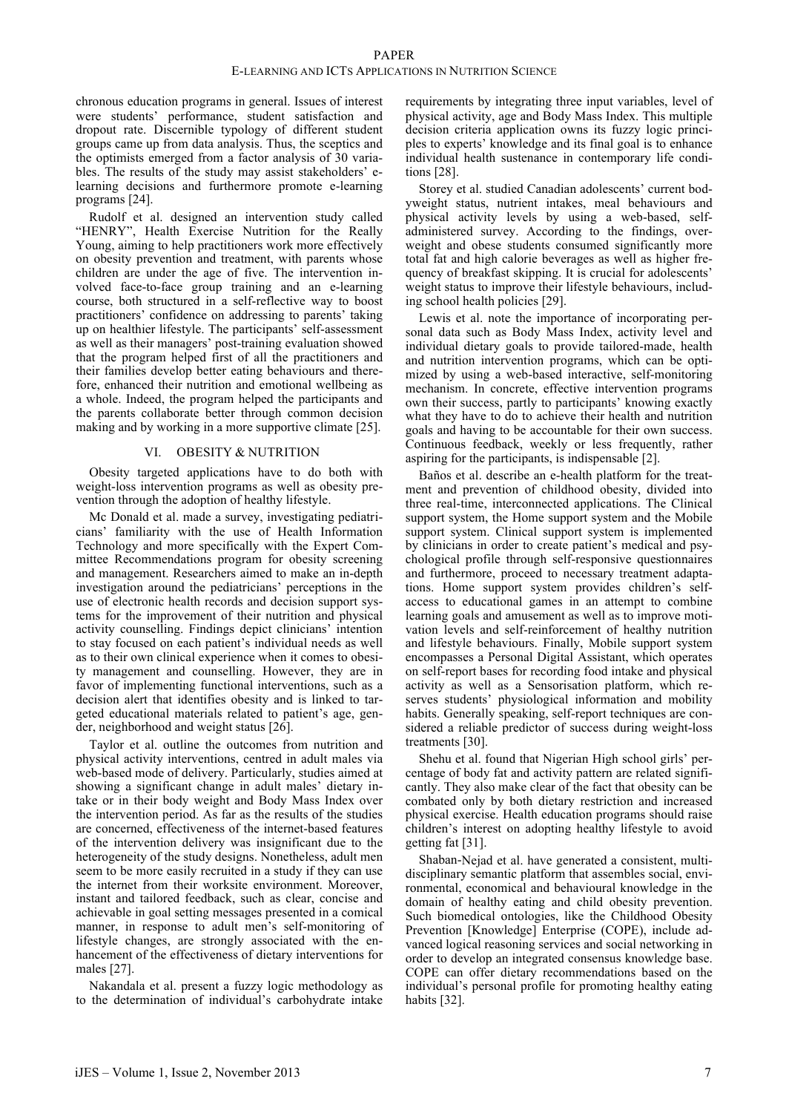## E-LEARNING AND ICTS APPLICATIONS IN NUTRITION SCIENCE

chronous education programs in general. Issues of interest were students' performance, student satisfaction and dropout rate. Discernible typology of different student groups came up from data analysis. Thus, the sceptics and the optimists emerged from a factor analysis of 30 variables. The results of the study may assist stakeholders' elearning decisions and furthermore promote e-learning programs [24].

Rudolf et al. designed an intervention study called "HENRY", Health Exercise Nutrition for the Really Young, aiming to help practitioners work more effectively on obesity prevention and treatment, with parents whose children are under the age of five. The intervention involved face-to-face group training and an e-learning course, both structured in a self-reflective way to boost practitioners' confidence on addressing to parents' taking up on healthier lifestyle. The participants' self-assessment as well as their managers' post-training evaluation showed that the program helped first of all the practitioners and their families develop better eating behaviours and therefore, enhanced their nutrition and emotional wellbeing as a whole. Indeed, the program helped the participants and the parents collaborate better through common decision making and by working in a more supportive climate [25].

## VI. OBESITY & NUTRITION

Obesity targeted applications have to do both with weight-loss intervention programs as well as obesity prevention through the adoption of healthy lifestyle.

Mc Donald et al. made a survey, investigating pediatricians' familiarity with the use of Health Information Technology and more specifically with the Expert Committee Recommendations program for obesity screening and management. Researchers aimed to make an in-depth investigation around the pediatricians' perceptions in the use of electronic health records and decision support systems for the improvement of their nutrition and physical activity counselling. Findings depict clinicians' intention to stay focused on each patient's individual needs as well as to their own clinical experience when it comes to obesity management and counselling. However, they are in favor of implementing functional interventions, such as a decision alert that identifies obesity and is linked to targeted educational materials related to patient's age, gender, neighborhood and weight status [26].

Taylor et al. outline the outcomes from nutrition and physical activity interventions, centred in adult males via web-based mode of delivery. Particularly, studies aimed at showing a significant change in adult males' dietary intake or in their body weight and Body Mass Index over the intervention period. As far as the results of the studies are concerned, effectiveness of the internet-based features of the intervention delivery was insignificant due to the heterogeneity of the study designs. Nonetheless, adult men seem to be more easily recruited in a study if they can use the internet from their worksite environment. Moreover, instant and tailored feedback, such as clear, concise and achievable in goal setting messages presented in a comical manner, in response to adult men's self-monitoring of lifestyle changes, are strongly associated with the enhancement of the effectiveness of dietary interventions for males [27].

Nakandala et al. present a fuzzy logic methodology as to the determination of individual's carbohydrate intake

requirements by integrating three input variables, level of physical activity, age and Body Mass Index. This multiple decision criteria application owns its fuzzy logic principles to experts' knowledge and its final goal is to enhance individual health sustenance in contemporary life conditions [28].

Storey et al. studied Canadian adolescents' current bodyweight status, nutrient intakes, meal behaviours and physical activity levels by using a web-based, selfadministered survey. According to the findings, overweight and obese students consumed significantly more total fat and high calorie beverages as well as higher frequency of breakfast skipping. It is crucial for adolescents' weight status to improve their lifestyle behaviours, including school health policies [29].

Lewis et al. note the importance of incorporating personal data such as Body Mass Index, activity level and individual dietary goals to provide tailored-made, health and nutrition intervention programs, which can be optimized by using a web-based interactive, self-monitoring mechanism. In concrete, effective intervention programs own their success, partly to participants' knowing exactly what they have to do to achieve their health and nutrition goals and having to be accountable for their own success. Continuous feedback, weekly or less frequently, rather aspiring for the participants, is indispensable [2].

Baños et al. describe an e-health platform for the treatment and prevention of childhood obesity, divided into three real-time, interconnected applications. The Clinical support system, the Home support system and the Mobile support system. Clinical support system is implemented by clinicians in order to create patient's medical and psychological profile through self-responsive questionnaires and furthermore, proceed to necessary treatment adaptations. Home support system provides children's selfaccess to educational games in an attempt to combine learning goals and amusement as well as to improve motivation levels and self-reinforcement of healthy nutrition and lifestyle behaviours. Finally, Mobile support system encompasses a Personal Digital Assistant, which operates on self-report bases for recording food intake and physical activity as well as a Sensorisation platform, which reserves students' physiological information and mobility habits. Generally speaking, self-report techniques are considered a reliable predictor of success during weight-loss treatments [30].

Shehu et al. found that Nigerian High school girls' percentage of body fat and activity pattern are related significantly. They also make clear of the fact that obesity can be combated only by both dietary restriction and increased physical exercise. Health education programs should raise children's interest on adopting healthy lifestyle to avoid getting fat [31].

Shaban-Nejad et al. have generated a consistent, multidisciplinary semantic platform that assembles social, environmental, economical and behavioural knowledge in the domain of healthy eating and child obesity prevention. Such biomedical ontologies, like the Childhood Obesity Prevention [Knowledge] Enterprise (COPE), include advanced logical reasoning services and social networking in order to develop an integrated consensus knowledge base. COPE can offer dietary recommendations based on the individual's personal profile for promoting healthy eating habits [32].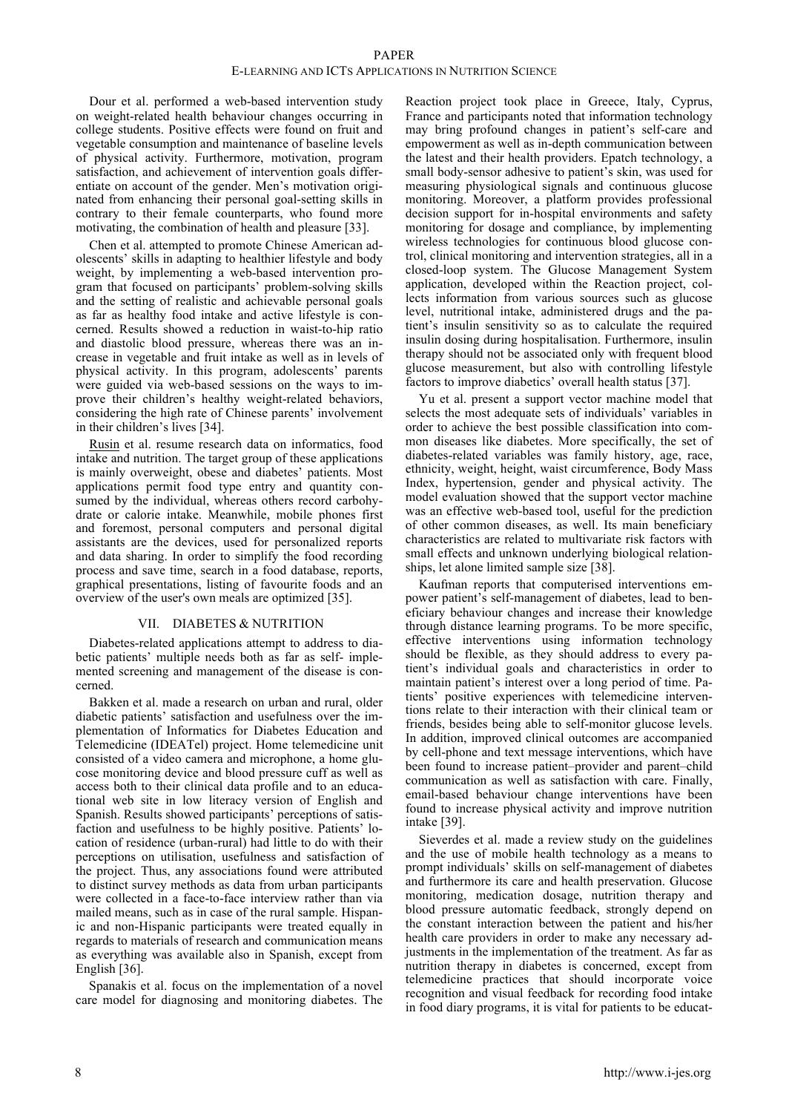# PAPER

## E-LEARNING AND ICTS APPLICATIONS IN NUTRITION SCIENCE

Dour et al. performed a web-based intervention study on weight-related health behaviour changes occurring in college students. Positive effects were found on fruit and vegetable consumption and maintenance of baseline levels of physical activity. Furthermore, motivation, program satisfaction, and achievement of intervention goals differentiate on account of the gender. Men's motivation originated from enhancing their personal goal-setting skills in contrary to their female counterparts, who found more motivating, the combination of health and pleasure [33].

Chen et al. attempted to promote Chinese American adolescents' skills in adapting to healthier lifestyle and body weight, by implementing a web-based intervention program that focused on participants' problem-solving skills and the setting of realistic and achievable personal goals as far as healthy food intake and active lifestyle is concerned. Results showed a reduction in waist-to-hip ratio and diastolic blood pressure, whereas there was an increase in vegetable and fruit intake as well as in levels of physical activity. In this program, adolescents' parents were guided via web-based sessions on the ways to improve their children's healthy weight-related behaviors, considering the high rate of Chinese parents' involvement in their children's lives [34].

Rusin et al. resume research data on informatics, food intake and nutrition. The target group of these applications is mainly overweight, obese and diabetes' patients. Most applications permit food type entry and quantity consumed by the individual, whereas others record carbohydrate or calorie intake. Meanwhile, mobile phones first and foremost, personal computers and personal digital assistants are the devices, used for personalized reports and data sharing. In order to simplify the food recording process and save time, search in a food database, reports, graphical presentations, listing of favourite foods and an overview of the user's own meals are optimized [35].

## VII. DIABETES & NUTRITION

Diabetes-related applications attempt to address to diabetic patients' multiple needs both as far as self- implemented screening and management of the disease is concerned.

Bakken et al. made a research on urban and rural, older diabetic patients' satisfaction and usefulness over the implementation of Informatics for Diabetes Education and Telemedicine (IDEATel) project. Home telemedicine unit consisted of a video camera and microphone, a home glucose monitoring device and blood pressure cuff as well as access both to their clinical data profile and to an educational web site in low literacy version of English and Spanish. Results showed participants' perceptions of satisfaction and usefulness to be highly positive. Patients' location of residence (urban-rural) had little to do with their perceptions on utilisation, usefulness and satisfaction of the project. Thus, any associations found were attributed to distinct survey methods as data from urban participants were collected in a face-to-face interview rather than via mailed means, such as in case of the rural sample. Hispanic and non-Hispanic participants were treated equally in regards to materials of research and communication means as everything was available also in Spanish, except from English [36].

Spanakis et al. focus on the implementation of a novel care model for diagnosing and monitoring diabetes. The

Reaction project took place in Greece, Italy, Cyprus, France and participants noted that information technology may bring profound changes in patient's self-care and empowerment as well as in-depth communication between the latest and their health providers. Epatch technology, a small body-sensor adhesive to patient's skin, was used for measuring physiological signals and continuous glucose monitoring. Moreover, a platform provides professional decision support for in-hospital environments and safety monitoring for dosage and compliance, by implementing wireless technologies for continuous blood glucose control, clinical monitoring and intervention strategies, all in a closed-loop system. The Glucose Management System application, developed within the Reaction project, collects information from various sources such as glucose level, nutritional intake, administered drugs and the patient's insulin sensitivity so as to calculate the required insulin dosing during hospitalisation. Furthermore, insulin therapy should not be associated only with frequent blood glucose measurement, but also with controlling lifestyle factors to improve diabetics' overall health status [37].

Yu et al. present a support vector machine model that selects the most adequate sets of individuals' variables in order to achieve the best possible classification into common diseases like diabetes. More specifically, the set of diabetes-related variables was family history, age, race, ethnicity, weight, height, waist circumference, Body Mass Index, hypertension, gender and physical activity. The model evaluation showed that the support vector machine was an effective web-based tool, useful for the prediction of other common diseases, as well. Its main beneficiary characteristics are related to multivariate risk factors with small effects and unknown underlying biological relationships, let alone limited sample size [38].

Kaufman reports that computerised interventions empower patient's self-management of diabetes, lead to beneficiary behaviour changes and increase their knowledge through distance learning programs. To be more specific, effective interventions using information technology should be flexible, as they should address to every patient's individual goals and characteristics in order to maintain patient's interest over a long period of time. Patients' positive experiences with telemedicine interventions relate to their interaction with their clinical team or friends, besides being able to self-monitor glucose levels. In addition, improved clinical outcomes are accompanied by cell-phone and text message interventions, which have been found to increase patient–provider and parent–child communication as well as satisfaction with care. Finally, email-based behaviour change interventions have been found to increase physical activity and improve nutrition intake [39].

Sieverdes et al. made a review study on the guidelines and the use of mobile health technology as a means to prompt individuals' skills on self-management of diabetes and furthermore its care and health preservation. Glucose monitoring, medication dosage, nutrition therapy and blood pressure automatic feedback, strongly depend on the constant interaction between the patient and his/her health care providers in order to make any necessary adjustments in the implementation of the treatment. As far as nutrition therapy in diabetes is concerned, except from telemedicine practices that should incorporate voice recognition and visual feedback for recording food intake in food diary programs, it is vital for patients to be educat-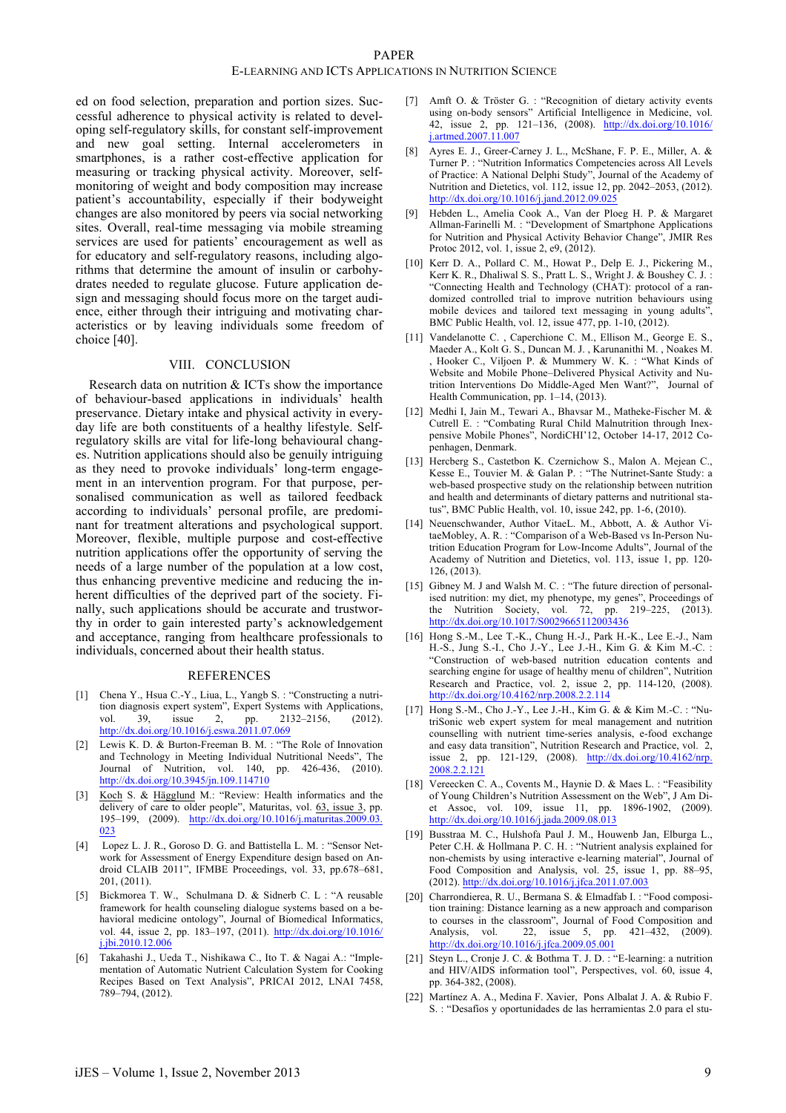## PAPER

## E-LEARNING AND ICTS APPLICATIONS IN NUTRITION SCIENCE

ed on food selection, preparation and portion sizes. Successful adherence to physical activity is related to developing self-regulatory skills, for constant self-improvement and new goal setting. Internal accelerometers in smartphones, is a rather cost-effective application for measuring or tracking physical activity. Moreover, selfmonitoring of weight and body composition may increase patient's accountability, especially if their bodyweight changes are also monitored by peers via social networking sites. Overall, real-time messaging via mobile streaming services are used for patients' encouragement as well as for educatory and self-regulatory reasons, including algorithms that determine the amount of insulin or carbohydrates needed to regulate glucose. Future application design and messaging should focus more on the target audience, either through their intriguing and motivating characteristics or by leaving individuals some freedom of choice [40].

#### VIII. CONCLUSION

Research data on nutrition & ICTs show the importance of behaviour-based applications in individuals' health preservance. Dietary intake and physical activity in everyday life are both constituents of a healthy lifestyle. Selfregulatory skills are vital for life-long behavioural changes. Nutrition applications should also be genuily intriguing as they need to provoke individuals' long-term engagement in an intervention program. For that purpose, personalised communication as well as tailored feedback according to individuals' personal profile, are predominant for treatment alterations and psychological support. Moreover, flexible, multiple purpose and cost-effective nutrition applications offer the opportunity of serving the needs of a large number of the population at a low cost, thus enhancing preventive medicine and reducing the inherent difficulties of the deprived part of the society. Finally, such applications should be accurate and trustworthy in order to gain interested party's acknowledgement and acceptance, ranging from healthcare professionals to individuals, concerned about their health status.

## **REFERENCES**

- [1] Chena Y., Hsua C.-Y., Liua, L., Yangb S. : "Constructing a nutrition diagnosis expert system", Expert Systems with Applications, vol. 39, issue 2, pp. 2132–2156, (2012). http://dx.doi.org/10.1016/j.eswa.2011.07.069
- [2] Lewis K. D. & Burton-Freeman B. M. : "The Role of Innovation and Technology in Meeting Individual Nutritional Needs", The Journal of Nutrition, vol. 140, pp. 426-436, (2010). http://dx.doi.org/10.3945/jn.109.114710
- [3] Koch S. & Hägglund M.: "Review: Health informatics and the delivery of care to older people", Maturitas, vol. 63, issue 3, pp. 195–199, (2009). http://dx.doi.org/10.1016/j.maturitas.2009.03. 023
- [4] Lopez L. J. R., Goroso D. G. and Battistella L. M. : "Sensor Network for Assessment of Energy Expenditure design based on Android CLAIB 2011", IFMBE Proceedings, vol. 33, pp.678–681, 201, (2011).
- [5] Bickmorea T. W., Schulmana D. & Sidnerb C. L : "A reusable framework for health counseling dialogue systems based on a behavioral medicine ontology", Journal of Biomedical Informatics, vol. 44, issue 2, pp. 183–197, (2011). http://dx.doi.org/10.1016/ j.jbi.2010.12.006
- [6] Takahashi J., Ueda T., Nishikawa C., Ito T. & Nagai A.: "Implementation of Automatic Nutrient Calculation System for Cooking Recipes Based on Text Analysis", PRICAI 2012, LNAI 7458, 789–794, (2012).
- [7] Amft O. & Tröster G. : "Recognition of dietary activity events using on-body sensors" Artificial Intelligence in Medicine, vol. 42, issue 2, pp. 121–136, (2008). http://dx.doi.org/10.1016/ j.artmed.2007.11.007
- [8] Ayres E. J., Greer-Carney J. L., McShane, F. P. E., Miller, A. & Turner P. : "Nutrition Informatics Competencies across All Levels of Practice: A National Delphi Study", Journal of the Academy of Nutrition and Dietetics, vol. 112, issue 12, pp. 2042–2053, (2012). http://dx.doi.org/10.1016/j.jand.2012.09.02:
- [9] Hebden L., Amelia Cook A., Van der Ploeg H. P. & Margaret Allman-Farinelli M. : "Development of Smartphone Applications for Nutrition and Physical Activity Behavior Change", JMIR Res Protoc 2012, vol. 1, issue 2, e9, (2012).
- [10] Kerr D. A., Pollard C. M., Howat P., Delp E. J., Pickering M., Kerr K. R., Dhaliwal S. S., Pratt L. S., Wright J. & Boushey C. J. : "Connecting Health and Technology (CHAT): protocol of a randomized controlled trial to improve nutrition behaviours using mobile devices and tailored text messaging in young adults", BMC Public Health, vol. 12, issue 477, pp. 1-10, (2012).
- [11] Vandelanotte C., Caperchione C. M., Ellison M., George E. S., Maeder A., Kolt G. S., Duncan M. J. , Karunanithi M. , Noakes M. Hooker C., Viljoen P. & Mummery W. K. : "What Kinds of Website and Mobile Phone–Delivered Physical Activity and Nutrition Interventions Do Middle-Aged Men Want?", Journal of Health Communication, pp. 1–14, (2013).
- [12] Medhi I, Jain M., Tewari A., Bhavsar M., Matheke-Fischer M. & Cutrell E. : "Combating Rural Child Malnutrition through Inexpensive Mobile Phones", NordiCHI'12, October 14-17, 2012 Copenhagen, Denmark.
- [13] Hercberg S., Castetbon K. Czernichow S., Malon A. Mejean C., Kesse E., Touvier M. & Galan P. : "The Nutrinet-Sante Study: a web-based prospective study on the relationship between nutrition and health and determinants of dietary patterns and nutritional status", BMC Public Health, vol. 10, issue 242, pp. 1-6, (2010).
- [14] Neuenschwander, Author VitaeL. M., Abbott, A. & Author VitaeMobley, A. R. : "Comparison of a Web-Based vs In-Person Nutrition Education Program for Low-Income Adults", Journal of the Academy of Nutrition and Dietetics, vol. 113, issue 1, pp. 120- 126, (2013).
- [15] Gibney M. J and Walsh M. C. : "The future direction of personalised nutrition: my diet, my phenotype, my genes", Proceedings of the Nutrition Society, vol. 72, pp. 219–225, (2013). http://dx.doi.org/10.1017/S0029665112003436
- [16] Hong S.-M., Lee T.-K., Chung H.-J., Park H.-K., Lee E.-J., Nam H.-S., Jung S.-I., Cho J.-Y., Lee J.-H., Kim G. & Kim M.-C. : "Construction of web-based nutrition education contents and searching engine for usage of healthy menu of children", Nutrition Research and Practice, vol. 2, issue 2, pp. 114-120, (2008). http://dx.doi.org/10.4162/nrp.2008.2.2.114
- [17] Hong S.-M., Cho J.-Y., Lee J.-H., Kim G. & & Kim M.-C. : "NutriSonic web expert system for meal management and nutrition counselling with nutrient time-series analysis, e-food exchange and easy data transition", Nutrition Research and Practice, vol. 2, issue 2, pp. 121-129, (2008). http://dx.doi.org/10.4162/nrp. 2008.2.2.121
- [18] Vereecken C. A., Covents M., Haynie D. & Maes L. : "Feasibility of Young Children's Nutrition Assessment on the Web", J Am Diet Assoc, vol. 109, issue 11, pp. 1896-1902, (2009). http://dx.doi.org/10.1016/j.jada.2009.08.013
- [19] Busstraa M. C., Hulshofa Paul J. M., Houwenb Jan, Elburga L., Peter C.H. & Hollmana P. C. H. : "Nutrient analysis explained for non-chemists by using interactive e-learning material", Journal of Food Composition and Analysis, vol. 25, issue 1, pp. 88–95, (2012). http://dx.doi.org/10.1016/j.jfca.2011.07.003
- [20] Charrondierea, R. U., Bermana S. & Elmadfab I. : "Food composition training: Distance learning as a new approach and comparison to courses in the classroom", Journal of Food Composition and Analysis, vol. 22, issue 5, pp. 421–432, (2009). http://dx.doi.org/10.1016/j.jfca.2009.05.001
- [21] Steyn L., Cronje J. C. & Bothma T. J. D. : "E-learning: a nutrition and HIV/AIDS information tool", Perspectives, vol. 60, issue 4, pp. 364-382, (2008).
- [22] Martínez A. A., Medina F. Xavier, Pons Albalat J. A. & Rubio F. S. : "Desafíos y oportunidades de las herramientas 2.0 para el stu-